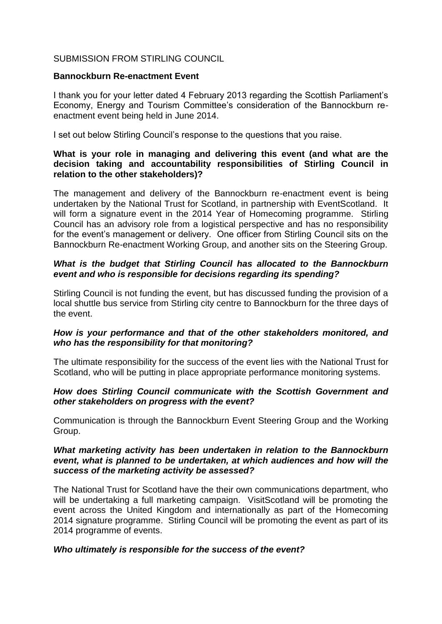## SUBMISSION FROM STIRLING COUNCIL

#### **Bannockburn Re-enactment Event**

I thank you for your letter dated 4 February 2013 regarding the Scottish Parliament's Economy, Energy and Tourism Committee's consideration of the Bannockburn reenactment event being held in June 2014.

I set out below Stirling Council's response to the questions that you raise.

## **What is your role in managing and delivering this event (and what are the decision taking and accountability responsibilities of Stirling Council in relation to the other stakeholders)?**

The management and delivery of the Bannockburn re-enactment event is being undertaken by the National Trust for Scotland, in partnership with EventScotland. It will form a signature event in the 2014 Year of Homecoming programme. Stirling Council has an advisory role from a logistical perspective and has no responsibility for the event's management or delivery. One officer from Stirling Council sits on the Bannockburn Re-enactment Working Group, and another sits on the Steering Group.

# *What is the budget that Stirling Council has allocated to the Bannockburn event and who is responsible for decisions regarding its spending?*

Stirling Council is not funding the event, but has discussed funding the provision of a local shuttle bus service from Stirling city centre to Bannockburn for the three days of the event.

# *How is your performance and that of the other stakeholders monitored, and who has the responsibility for that monitoring?*

The ultimate responsibility for the success of the event lies with the National Trust for Scotland, who will be putting in place appropriate performance monitoring systems.

## *How does Stirling Council communicate with the Scottish Government and other stakeholders on progress with the event?*

Communication is through the Bannockburn Event Steering Group and the Working Group.

#### *What marketing activity has been undertaken in relation to the Bannockburn event, what is planned to be undertaken, at which audiences and how will the success of the marketing activity be assessed?*

The National Trust for Scotland have the their own communications department, who will be undertaking a full marketing campaign. VisitScotland will be promoting the event across the United Kingdom and internationally as part of the Homecoming 2014 signature programme. Stirling Council will be promoting the event as part of its 2014 programme of events.

## *Who ultimately is responsible for the success of the event?*